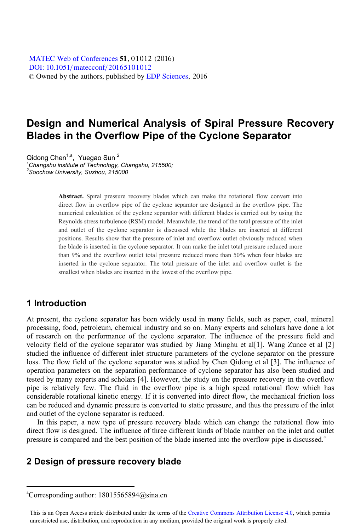[DOI: 10.1051](http://dx.doi.org/10.1051/matecconf/20165101012)/matecconf/20165101012 © Owned by the authors, published by [EDP Sciences](http://www.edpsciences.org), 2016 MATEC [Web of Conferences](http://www.matec-conferences.org) 51, 01012 (2016)

# **Design and Numerical Analysis of Spiral Pressure Recovery Blades in the Overflow Pipe of the Cyclone Separator**

Qidong Chen<sup>1,a</sup>, Yuegao Sun<sup>2</sup> *1 Changshu institute of Technology, Changshu, 215500; 2 Soochow University, Suzhou, 215000* 

> **Abstract.** Spiral pressure recovery blades which can make the rotational flow convert into direct flow in overflow pipe of the cyclone separator are designed in the overflow pipe. The numerical calculation of the cyclone separator with different blades is carried out by using the Reynolds stress turbulence (RSM) model. Meanwhile, the trend of the total pressure of the inlet and outlet of the cyclone separator is discussed while the blades are inserted at different positions. Results show that the pressure of inlet and overflow outlet obviously reduced when the blade is inserted in the cyclone separator. It can make the inlet total pressure reduced more than 9% and the overflow outlet total pressure reduced more than 50% when four blades are inserted in the cyclone separator. The total pressure of the inlet and overflow outlet is the smallest when blades are inserted in the lowest of the overflow pipe.

## **1 Introduction**

 $\overline{a}$ 

At present, the cyclone separator has been widely used in many fields, such as paper, coal, mineral processing, food, petroleum, chemical industry and so on. Many experts and scholars have done a lot of research on the performance of the cyclone separator. The influence of the pressure field and velocity field of the cyclone separator was studied by Jiang Minghu et al[1]. Wang Zunce et al [2] studied the influence of different inlet structure parameters of the cyclone separator on the pressure loss. The flow field of the cyclone separator was studied by Chen Qidong et al [3]. The influence of operation parameters on the separation performance of cyclone separator has also been studied and tested by many experts and scholars [4]. However, the study on the pressure recovery in the overflow pipe is relatively few. The fluid in the overflow pipe is a high speed rotational flow which has considerable rotational kinetic energy. If it is converted into direct flow, the mechanical friction loss can be reduced and dynamic pressure is converted to static pressure, and thus the pressure of the inlet and outlet of the cyclone separator is reduced.

In this paper, a new type of pressure recovery blade which can change the rotational flow into direct flow is designed. The influence of three different kinds of blade number on the inlet and outlet pressure is compared and the best position of the blade inserted into the overflow pipe is discussed.<sup>a</sup>

## **2 Design of pressure recovery blade**

a Corresponding author: 18015565894@sina.cn

This is an Open Access article distributed under the terms of the Creative Commons Attribution License 4.0, which permits unrestricted use, distribution, and reproduction in any medium, provided the original work is properly cited.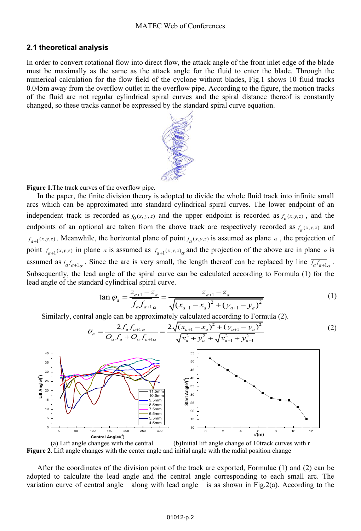#### **2.1 theoretical analysis**

In order to convert rotational flow into direct flow, the attack angle of the front inlet edge of the blade must be maximally as the same as the attack angle for the fluid to enter the blade. Through the numerical calculation for the flow field of the cyclone without blades, Fig.1 shows 10 fluid tracks 0.045m away from the overflow outlet in the overflow pipe. According to the figure, the motion tracks of the fluid are not regular cylindrical spiral curves and the spiral distance thereof is constantly changed, so these tracks cannot be expressed by the standard spiral curve equation.



**Figure 1.**The track curves of the overflow pipe.

In the paper, the finite division theory is adopted to divide the whole fluid track into infinite small arcs which can be approximated into standard cylindrical spiral curves. The lower endpoint of an independent track is recorded as  $f_0(x, y, z)$  and the upper endpoint is recorded as  $f_n(x, y, z)$ , and the endpoints of an optional arc taken from the above track are respectively recorded as  $f_a(x,y,z)$  and  $f_{a+1}(x,y,z)$ . Meanwhile, the horizontal plane of point  $f_a(x,y,z)$  is assumed as plane  $\alpha$ , the projection of point  $f_{a+1}(x,y,z)$  in plane  $\alpha$  is assumed as  $f_{a+1}(x,y,z)$  and the projection of the above arc in plane  $\alpha$  is assumed as  $f_a f_{a+1}$ . Since the arc is very small, the length thereof can be replaced by line  $\overline{f_a f_{a+1}}_\alpha$ . Subsequently, the lead angle of the spiral curve can be calculated according to Formula (1) for the lead angle of the standard cylindrical spiral curve.

$$
\tan \varphi_a = \frac{z_{a+1} - z_a}{f_a f_{a+1} \alpha} = \frac{z_{a+1} - z_a}{\sqrt{(x_{a+1} - x_a)^2 + (y_{a+1} - y_a)^2}}
$$
(1)

Similarly, central angle can be approximately calculated according to Formula (2).

$$
\theta_{\alpha} = \frac{2\overline{f_a f_{a+1}}}{O_{\alpha} f_a + O_{\alpha} f_{a+1\alpha}} = \frac{2\sqrt{(x_{a+1} - x_a)^2 + (y_{a+1} - y_a)^2}}{\sqrt{x_a^2 + y_a^2} + \sqrt{x_{a+1}^2 + y_{a+1}^2}}
$$
(2)



(a) Lift angle changes with the central (b)Initial lift angle change of 10track curves with r **Figure 2.** Lift angle changes with the center angle and initial angle with the radial position change

After the coordinates of the division point of the track are exported, Formulae (1) and (2) can be adopted to calculate the lead angle and the central angle corresponding to each small arc. The variation curve of central angle along with lead angle is as shown in Fig.2(a). According to the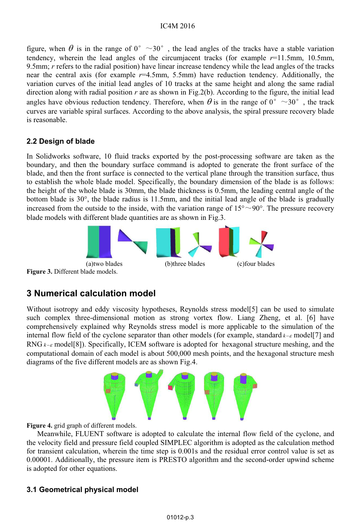### IC4M 2016

figure, when  $\theta$  is in the range of 0°  $\sim$ 30°, the lead angles of the tracks have a stable variation tendency, wherein the lead angles of the circumiacent tracks (for example  $r=11.5$ mm, 10.5mm, 9.5mm; *r* refers to the radial position) have linear increase tendency while the lead angles of the tracks near the central axis (for example *r*=4.5mm, 5.5mm) have reduction tendency. Additionally, the variation curves of the initial lead angles of 10 tracks at the same height and along the same radial direction along with radial position *r* are as shown in Fig.2(b). According to the figure, the initial lead angles have obvious reduction tendency. Therefore, when  $\theta$  is in the range of  $0^{\circ} \sim 30^{\circ}$ , the track curves are variable spiral surfaces. According to the above analysis, the spiral pressure recovery blade is reasonable.

### **2.2 Design of blade**

In Solidworks software, 10 fluid tracks exported by the post-processing software are taken as the boundary, and then the boundary surface command is adopted to generate the front surface of the blade, and then the front surface is connected to the vertical plane through the transition surface, thus to establish the whole blade model. Specifically, the boundary dimension of the blade is as follows: the height of the whole blade is 30mm, the blade thickness is 0.5mm, the leading central angle of the bottom blade is 30°, the blade radius is 11.5mm, and the initial lead angle of the blade is gradually increased from the outside to the inside, with the variation range of  $15^{\circ} \sim 90^{\circ}$ . The pressure recovery blade models with different blade quantities are as shown in Fig.3.



**Figure 3.** Different blade models.

# **3 Numerical calculation model**

Without isotropy and eddy viscosity hypotheses, Reynolds stress model[5] can be used to simulate such complex three-dimensional motion as strong vortex flow. Liang Zheng, et al. [6] have comprehensively explained why Reynolds stress model is more applicable to the simulation of the internal flow field of the cyclone separator than other models (for example, standard  $k-\varepsilon$  model[7] and RNG  $k-\varepsilon$  model[8]). Specifically, ICEM software is adopted for hexagonal structure meshing, and the computational domain of each model is about 500,000 mesh points, and the hexagonal structure mesh diagrams of the five different models are as shown Fig.4.



**Figure 4.** grid graph of different models.

Meanwhile, FLUENT software is adopted to calculate the internal flow field of the cyclone, and the velocity field and pressure field coupled SIMPLEC algorithm is adopted as the calculation method for transient calculation, wherein the time step is 0.001s and the residual error control value is set as 0.00001. Additionally, the pressure item is PRESTO algorithm and the second-order upwind scheme is adopted for other equations.

## **3.1 Geometrical physical model**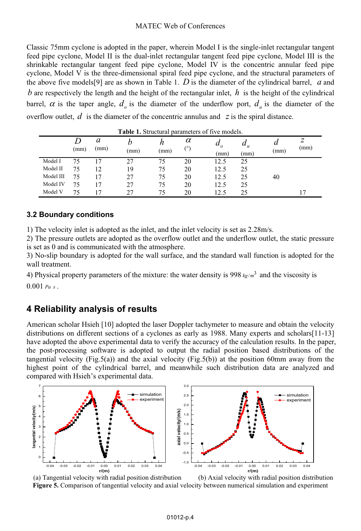### MATEC Web of Conferences

Classic 75mm cyclone is adopted in the paper, wherein Model I is the single-inlet rectangular tangent feed pipe cyclone, Model II is the dual-inlet rectangular tangent feed pipe cyclone, Model III is the shrinkable rectangular tangent feed pipe cyclone, Model IV is the concentric annular feed pipe cyclone, Model V is the three-dimensional spiral feed pipe cyclone, and the structural parameters of the above five models[9] are as shown in Table 1. *D* is the diameter of the cylindrical barrel, *a* and *b* are respectively the length and the height of the rectangular inlet,  $h$  is the height of the cylindrical barrel,  $\alpha$  is the taper angle,  $d_{\rho}$  is the diameter of the underflow port,  $d_{\mu}$  is the diameter of the overflow outlet,  $d$  is the diameter of the concentric annulus and  $z$  is the spiral distance.

|           | (mm) | a<br>(mm) | (mm) | (mm) | $\alpha$<br>$(^\circ)$ | $\boldsymbol{a}$<br>$\Omega$<br>(mm) | $u_u$<br>(mm) | и<br>(mm) | Ζ<br>(mm) |
|-----------|------|-----------|------|------|------------------------|--------------------------------------|---------------|-----------|-----------|
| Model I   | 75   | 17        | 27   | 75   | 20                     | 12.5                                 | 25            |           |           |
| Model II  | 75   | 12        | 19   | 75   | 20                     | 12.5                                 | 25            |           |           |
| Model III | 75   | 17        | 27   | 75   | 20                     | 12.5                                 | 25            | 40        |           |
| Model IV  | 75   | 17        | 27   | 75   | 20                     | 12.5                                 | 25            |           |           |
| Model V   | 75   | 7،        | 27   | 75   | 20                     | 12.5                                 | 25            |           |           |

**Table 1.** Structural parameters of five models.

### **3.2 Boundary conditions**

1) The velocity inlet is adopted as the inlet, and the inlet velocity is set as 2.28m/s.

2) The pressure outlets are adopted as the overflow outlet and the underflow outlet, the static pressure is set as 0 and is communicated with the atmosphere.

3) No-slip boundary is adopted for the wall surface, and the standard wall function is adopted for the wall treatment.

4) Physical property parameters of the mixture: the water density is  $998 \frac{kg}{m^3}$  and the viscosity is 0.001 *Pa s* .

## **4 Reliability analysis of results**

American scholar Hsieh [10] adopted the laser Doppler tachymeter to measure and obtain the velocity distributions on different sections of a cyclones as early as 1988. Many experts and scholars[11-13] have adopted the above experimental data to verify the accuracy of the calculation results. In the paper, the post-processing software is adopted to output the radial position based distributions of the tangential velocity (Fig.5(a)) and the axial velocity (Fig.5(b)) at the position 60mm away from the highest point of the cylindrical barrel, and meanwhile such distribution data are analyzed and compared with Hsieh's experimental data.



 (a) Tangential velocity with radial position distribution (b) Axial velocity with radial position distribution **Figure 5.** Comparison of tangential velocity and axial velocity between numerical simulation and experiment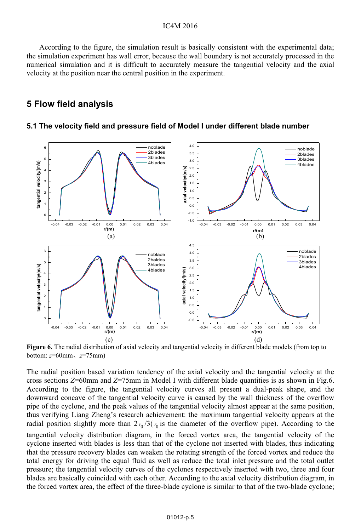#### IC4M 2016

 According to the figure, the simulation result is basically consistent with the experimental data; the simulation experiment has wall error, because the wall boundary is not accurately processed in the numerical simulation and it is difficult to accurately measure the tangential velocity and the axial velocity at the position near the central position in the experiment.

## **5 Flow field analysis**

#### **5.1 The velocity field and pressure field of Model I under different blade number**



**Figure 6.** The radial distribution of axial velocity and tangential velocity in different blade models (from top to bottom: *z*=60mmǃ*z*=75mm)

The radial position based variation tendency of the axial velocity and the tangential velocity at the cross sections *Z*=60mm and *Z*=75mm in Model I with different blade quantities is as shown in Fig.6. According to the figure, the tangential velocity curves all present a dual-peak shape, and the downward concave of the tangential velocity curve is caused by the wall thickness of the overflow pipe of the cyclone, and the peak values of the tangential velocity almost appear at the same position, thus verifying Liang Zheng's research achievement: the maximum tangential velocity appears at the radial position slightly more than  $2r_0/3(r_0)$  is the diameter of the overflow pipe). According to the tangential velocity distribution diagram, in the forced vortex area, the tangential velocity of the cyclone inserted with blades is less than that of the cyclone not inserted with blades, thus indicating that the pressure recovery blades can weaken the rotating strength of the forced vortex and reduce the total energy for driving the equal fluid as well as reduce the total inlet pressure and the total outlet pressure; the tangential velocity curves of the cyclones respectively inserted with two, three and four blades are basically coincided with each other. According to the axial velocity distribution diagram, in the forced vortex area, the effect of the three-blade cyclone is similar to that of the two-blade cyclone;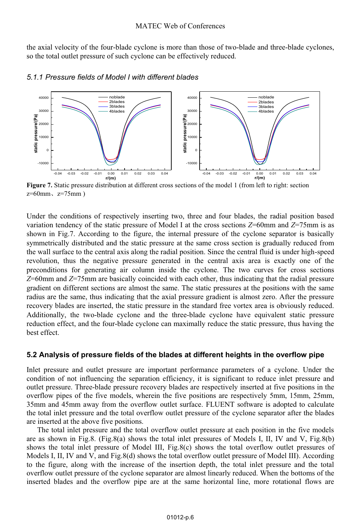the axial velocity of the four-blade cyclone is more than those of two-blade and three-blade cyclones, so the total outlet pressure of such cyclone can be effectively reduced.



### *5.1. Pressure fields of Model I with different blades 1*

**Figure 7.** Static pressure distribution at different cross sections of the model 1 (from left to right: section  $z=60$ mm,  $z=75$ mm)

Under the conditions of respectively inserting two, three and four blades, the radial position based variation tendency of the static pressure of Model I at the cross sections *Z*=60mm and *Z*=75mm is as shown in Fig.7. According to the figure, the internal pressure of the cyclone separator is basically symmetrically distributed and the static pressure at the same cross section is gradually reduced from the wall surface to the central axis along the radial position. Since the central fluid is under high-speed revolution, thus the negative pressure generated in the central axis area is exactly one of the preconditions for generating air column inside the cyclone. The two curves for cross sections *Z*=60mm and *Z*=75mm are basically coincided with each other, thus indicating that the radial pressure gradient on different sections are almost the same. The static pressures at the positions with the same radius are the same, thus indicating that the axial pressure gradient is almost zero. After the pressure recovery blades are inserted, the static pressure in the standard free vortex area is obviously reduced. Additionally, the two-blade cyclone and the three-blade cyclone have equivalent static pressure reduction effect, and the four-blade cyclone can maximally reduce the static pressure, thus having the best effect.

### **5.2 Analysis of pressure fields of the blades at different heights in the overflow pipe**

Inlet pressure and outlet pressure are important performance parameters of a cyclone. Under the condition of not influencing the separation efficiency, it is significant to reduce inlet pressure and outlet pressure. Three-blade pressure recovery blades are respectively inserted at five positions in the overflow pipes of the five models, wherein the five positions are respectively 5mm, 15mm, 25mm, 35mm and 45mm away from the overflow outlet surface. FLUENT software is adopted to calculate the total inlet pressure and the total overflow outlet pressure of the cyclone separator after the blades are inserted at the above five positions.

The total inlet pressure and the total overflow outlet pressure at each position in the five models are as shown in Fig.8. (Fig.8(a) shows the total inlet pressures of Models I, II, IV and V, Fig.8(b) shows the total inlet pressure of Model III, Fig.8(c) shows the total overflow outlet pressures of Models I, II, IV and V, and Fig.8(d) shows the total overflow outlet pressure of Model III). According to the figure, along with the increase of the insertion depth, the total inlet pressure and the total overflow outlet pressure of the cyclone separator are almost linearly reduced. When the bottoms of the inserted blades and the overflow pipe are at the same horizontal line, more rotational flows are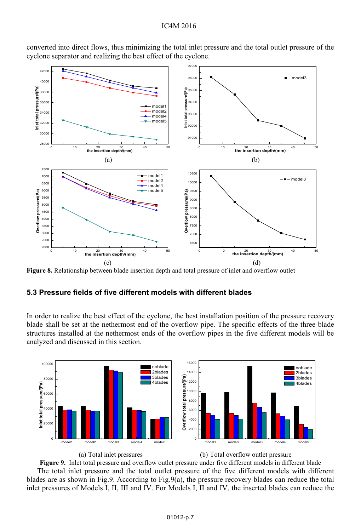

converted into direct flows, thus minimizing the total inlet pressure and the total outlet pressure of the cyclone separator and realizing the best effect of the cyclone.

**Figure 8.** Relationship between blade insertion depth and total pressure of inlet and overflow outlet

## **5.3 Pressure fields of five different models with different blades**

In order to realize the best effect of the cyclone, the best installation position of the pressure recovery blade shall be set at the nethermost end of the overflow pipe. The specific effects of the three blade structures installed at the nethermost ends of the overflow pipes in the five different models will be analyzed and discussed in this section.







**Figure 9.** Inlet total pressure and overflow outlet pressure under five different models in different blade The total inlet pressure and the total outlet pressure of the five different models with different blades are as shown in Fig.9. According to Fig.9(a), the pressure recovery blades can reduce the total inlet pressures of Models I, II, III and IV. For Models I, II and IV, the inserted blades can reduce the